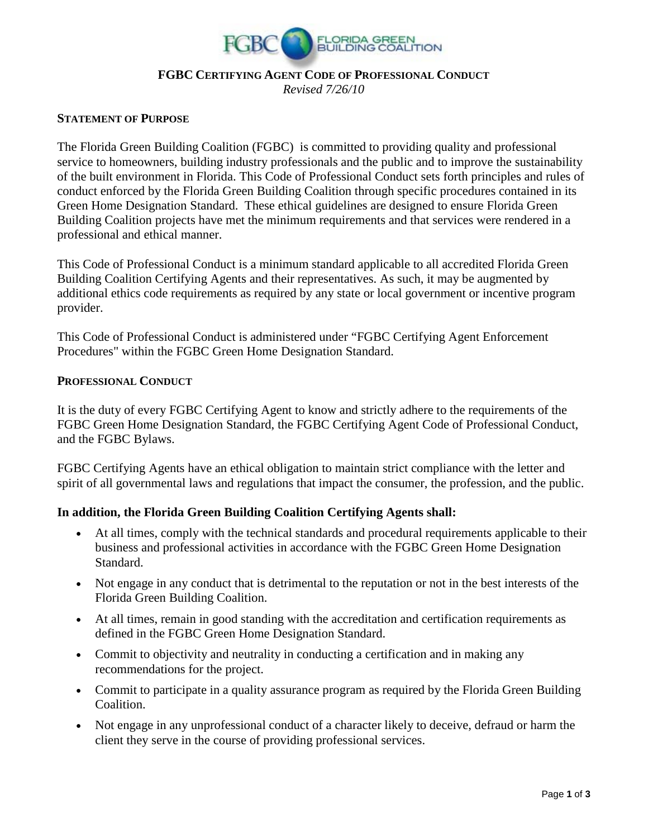

#### **FGBC CERTIFYING AGENT CODE OF PROFESSIONAL CONDUCT**

*Revised 7/26/10*

#### **STATEMENT OF PURPOSE**

The Florida Green Building Coalition (FGBC) is committed to providing quality and professional service to homeowners, building industry professionals and the public and to improve the sustainability of the built environment in Florida. This Code of Professional Conduct sets forth principles and rules of conduct enforced by the Florida Green Building Coalition through specific procedures contained in its Green Home Designation Standard. These ethical guidelines are designed to ensure Florida Green Building Coalition projects have met the minimum requirements and that services were rendered in a professional and ethical manner.

This Code of Professional Conduct is a minimum standard applicable to all accredited Florida Green Building Coalition Certifying Agents and their representatives. As such, it may be augmented by additional ethics code requirements as required by any state or local government or incentive program provider.

This Code of Professional Conduct is administered under "FGBC Certifying Agent Enforcement Procedures" within the FGBC Green Home Designation Standard.

### **PROFESSIONAL CONDUCT**

It is the duty of every FGBC Certifying Agent to know and strictly adhere to the requirements of the FGBC Green Home Designation Standard, the FGBC Certifying Agent Code of Professional Conduct, and the FGBC Bylaws.

FGBC Certifying Agents have an ethical obligation to maintain strict compliance with the letter and spirit of all governmental laws and regulations that impact the consumer, the profession, and the public.

### **In addition, the Florida Green Building Coalition Certifying Agents shall:**

- At all times, comply with the technical standards and procedural requirements applicable to their business and professional activities in accordance with the FGBC Green Home Designation Standard.
- Not engage in any conduct that is detrimental to the reputation or not in the best interests of the Florida Green Building Coalition.
- At all times, remain in good standing with the accreditation and certification requirements as defined in the FGBC Green Home Designation Standard.
- Commit to objectivity and neutrality in conducting a certification and in making any recommendations for the project.
- Commit to participate in a quality assurance program as required by the Florida Green Building Coalition.
- Not engage in any unprofessional conduct of a character likely to deceive, defraud or harm the client they serve in the course of providing professional services.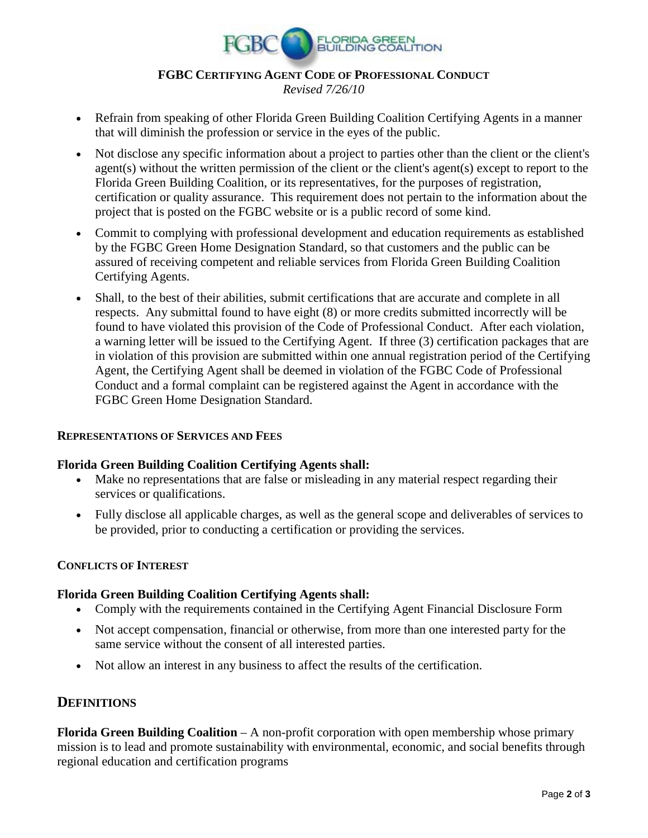

# **FGBC CERTIFYING AGENT CODE OF PROFESSIONAL CONDUCT**

*Revised 7/26/10*

- Refrain from speaking of other Florida Green Building Coalition Certifying Agents in a manner that will diminish the profession or service in the eyes of the public.
- Not disclose any specific information about a project to parties other than the client or the client's agent(s) without the written permission of the client or the client's agent(s) except to report to the Florida Green Building Coalition, or its representatives, for the purposes of registration, certification or quality assurance. This requirement does not pertain to the information about the project that is posted on the FGBC website or is a public record of some kind.
- Commit to complying with professional development and education requirements as established by the FGBC Green Home Designation Standard, so that customers and the public can be assured of receiving competent and reliable services from Florida Green Building Coalition Certifying Agents.
- Shall, to the best of their abilities, submit certifications that are accurate and complete in all respects. Any submittal found to have eight (8) or more credits submitted incorrectly will be found to have violated this provision of the Code of Professional Conduct. After each violation, a warning letter will be issued to the Certifying Agent. If three (3) certification packages that are in violation of this provision are submitted within one annual registration period of the Certifying Agent, the Certifying Agent shall be deemed in violation of the FGBC Code of Professional Conduct and a formal complaint can be registered against the Agent in accordance with the FGBC Green Home Designation Standard.

### **REPRESENTATIONS OF SERVICES AND FEES**

### **Florida Green Building Coalition Certifying Agents shall:**

- Make no representations that are false or misleading in any material respect regarding their services or qualifications.
- Fully disclose all applicable charges, as well as the general scope and deliverables of services to be provided, prior to conducting a certification or providing the services.

#### **CONFLICTS OF INTEREST**

### **Florida Green Building Coalition Certifying Agents shall:**

- Comply with the requirements contained in the Certifying Agent Financial Disclosure Form
- Not accept compensation, financial or otherwise, from more than one interested party for the same service without the consent of all interested parties.
- Not allow an interest in any business to affect the results of the certification.

# **DEFINITIONS**

**Florida Green Building Coalition** – A non-profit corporation with open membership whose primary mission is to lead and promote sustainability with environmental, economic, and social benefits through regional education and certification programs